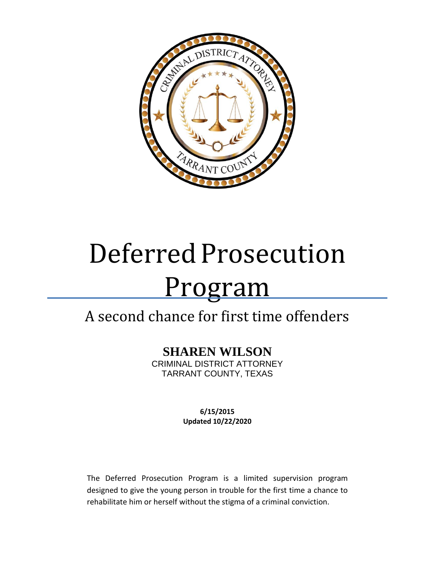

# Deferred Prosecution Program

## A second chance for first time offenders

## **SHAREN WILSON**

CRIMINAL DISTRICT ATTORNEY TARRANT COUNTY, TEXAS

> **6/15/2015 Updated 10/22/2020**

The Deferred Prosecution Program is a limited supervision program designed to give the young person in trouble for the first time a chance to rehabilitate him or herself without the stigma of a criminal conviction.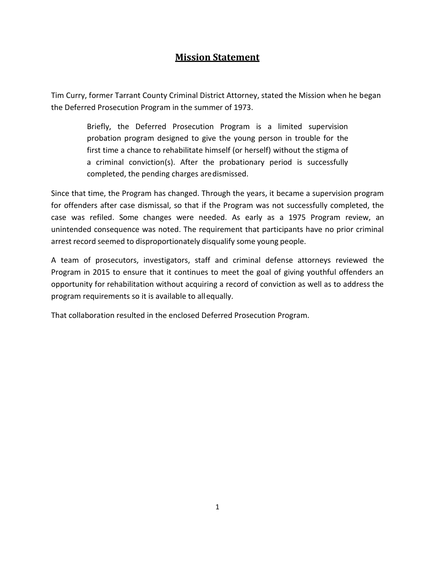## **Mission Statement**

Tim Curry, former Tarrant County Criminal District Attorney, stated the Mission when he began the Deferred Prosecution Program in the summer of 1973.

> Briefly, the Deferred Prosecution Program is a limited supervision probation program designed to give the young person in trouble for the first time a chance to rehabilitate himself (or herself) without the stigma of a criminal conviction(s). After the probationary period is successfully completed, the pending charges aredismissed.

Since that time, the Program has changed. Through the years, it became a supervision program for offenders after case dismissal, so that if the Program was not successfully completed, the case was refiled. Some changes were needed. As early as a 1975 Program review, an unintended consequence was noted. The requirement that participants have no prior criminal arrest record seemed to disproportionately disqualify some young people.

A team of prosecutors, investigators, staff and criminal defense attorneys reviewed the Program in 2015 to ensure that it continues to meet the goal of giving youthful offenders an opportunity for rehabilitation without acquiring a record of conviction as well as to address the program requirements so it is available to allequally.

That collaboration resulted in the enclosed Deferred Prosecution Program.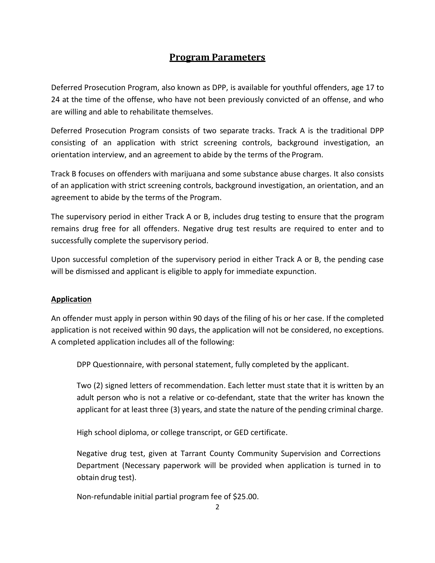### **Program Parameters**

Deferred Prosecution Program, also known as DPP, is available for youthful offenders, age 17 to 24 at the time of the offense, who have not been previously convicted of an offense, and who are willing and able to rehabilitate themselves.

Deferred Prosecution Program consists of two separate tracks. Track A is the traditional DPP consisting of an application with strict screening controls, background investigation, an orientation interview, and an agreement to abide by the terms of the Program.

Track B focuses on offenders with marijuana and some substance abuse charges. It also consists of an application with strict screening controls, background investigation, an orientation, and an agreement to abide by the terms of the Program.

The supervisory period in either Track A or B, includes drug testing to ensure that the program remains drug free for all offenders. Negative drug test results are required to enter and to successfully complete the supervisory period.

Upon successful completion of the supervisory period in either Track A or B, the pending case will be dismissed and applicant is eligible to apply for immediate expunction.

#### **Application**

An offender must apply in person within 90 days of the filing of his or her case. If the completed application is not received within 90 days, the application will not be considered, no exceptions. A completed application includes all of the following:

DPP Questionnaire, with personal statement, fully completed by the applicant.

Two (2) signed letters of recommendation. Each letter must state that it is written by an adult person who is not a relative or co-defendant, state that the writer has known the applicant for at least three (3) years, and state the nature of the pending criminal charge.

High school diploma, or college transcript, or GED certificate.

Negative drug test, given at Tarrant County Community Supervision and Corrections Department (Necessary paperwork will be provided when application is turned in to obtain drug test).

Non-refundable initial partial program fee of \$25.00.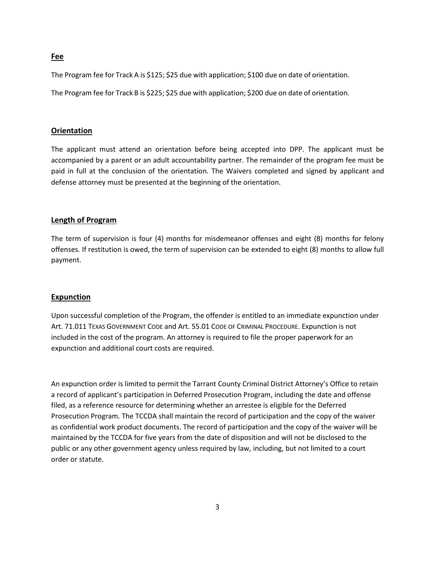#### **Fee**

The Program fee for Track A is \$125; \$25 due with application; \$100 due on date of orientation.

The Program fee for Track B is \$225; \$25 due with application; \$200 due on date of orientation.

#### **Orientation**

The applicant must attend an orientation before being accepted into DPP. The applicant must be accompanied by a parent or an adult accountability partner. The remainder of the program fee must be paid in full at the conclusion of the orientation. The Waivers completed and signed by applicant and defense attorney must be presented at the beginning of the orientation.

#### **Length of Program**

The term of supervision is four (4) months for misdemeanor offenses and eight (8) months for felony offenses. If restitution is owed, the term of supervision can be extended to eight (8) months to allow full payment.

#### **Expunction**

Upon successful completion of the Program, the offender is entitled to an immediate expunction under Art. 71.011 TEXAS GOVERNMENT CODE and Art. 55.01 CODE OF CRIMINAL PROCEDURE. Expunction is not included in the cost of the program. An attorney is required to file the proper paperwork for an expunction and additional court costs are required.

An expunction order is limited to permit the Tarrant County Criminal District Attorney's Office to retain a record of applicant's participation in Deferred Prosecution Program, including the date and offense filed, as a reference resource for determining whether an arrestee is eligible for the Deferred Prosecution Program. The TCCDA shall maintain the record of participation and the copy of the waiver as confidential work product documents. The record of participation and the copy of the waiver will be maintained by the TCCDA for five years from the date of disposition and will not be disclosed to the public or any other government agency unless required by law, including, but not limited to a court order or statute.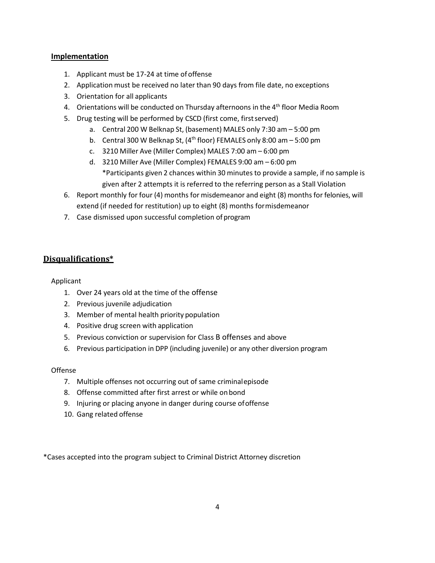#### **Implementation**

- 1. Applicant must be 17-24 at time of offense
- 2. Application must be received no later than 90 days from file date, no exceptions
- 3. Orientation for all applicants
- 4. Orientations will be conducted on Thursday afternoons in the 4<sup>th</sup> floor Media Room
- 5. Drug testing will be performed by CSCD (first come, firstserved)
	- a. Central 200 W Belknap St, (basement) MALES only 7:30 am 5:00 pm
	- b. Central 300 W Belknap St,  $(4^{th}$  floor) FEMALES only 8:00 am  $-5:00$  pm
	- c. 3210 Miller Ave (Miller Complex) MALES 7:00 am 6:00 pm
	- d. 3210 Miller Ave (Miller Complex) FEMALES 9:00 am 6:00 pm \*Participants given 2 chances within 30 minutesto provide a sample, if no sample is given after 2 attempts it is referred to the referring person as a Stall Violation
- 6. Report monthly for four (4) months for misdemeanor and eight (8) months for felonies, will extend (if needed for restitution) up to eight (8) months formisdemeanor
- 7. Case dismissed upon successful completion of program

#### **Disqualifications\***

#### Applicant

- 1. Over 24 years old at the time of the offense
- 2. Previous juvenile adjudication
- 3. Member of mental health priority population
- 4. Positive drug screen with application
- 5. Previous conviction or supervision for Class B offenses and above
- 6. Previous participation in DPP (including juvenile) or any other diversion program

#### Offense

- 7. Multiple offenses not occurring out of same criminalepisode
- 8. Offense committed after first arrest or while onbond
- 9. Injuring or placing anyone in danger during course ofoffense
- 10. Gang related offense

\*Cases accepted into the program subject to Criminal District Attorney discretion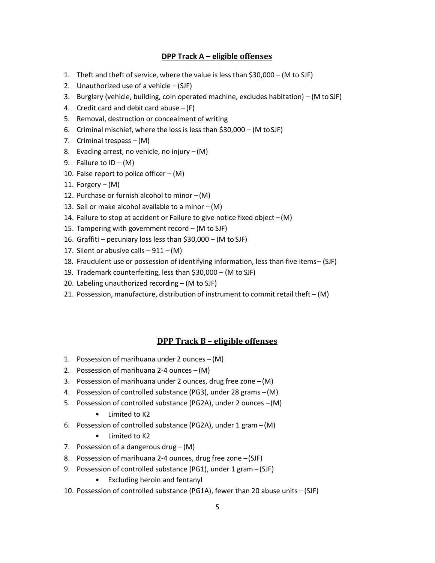#### **DPP Track A – eligible offenses**

- 1. Theft and theft of service, where the value is less than \$30,000 (M to SJF)
- 2. Unauthorized use of a vehicle  $-(SJF)$
- 3. Burglary (vehicle, building, coin operated machine, excludes habitation) (M to SJF)
- 4. Credit card and debit card abuse  $-$  (F)
- 5. Removal, destruction or concealment of writing
- 6. Criminal mischief, where the loss is less than \$30,000 (M toSJF)
- 7. Criminal trespass (M)
- 8. Evading arrest, no vehicle, no injury (M)
- 9. Failure to  $ID (M)$
- 10. False report to police officer  $(M)$
- 11. Forgery  $(M)$
- 12. Purchase or furnish alcohol to minor –(M)
- 13. Sell or make alcohol available to a minor  $-(M)$
- 14. Failure to stop at accident or Failure to give notice fixed object –(M)
- 15. Tampering with government record (M to SJF)
- 16. Graffiti pecuniary loss less than \$30,000 (M to SJF)
- 17. Silent or abusive calls  $-911 (M)$
- 18. Fraudulent use or possession of identifying information, less than five items– (SJF)
- 19. Trademark counterfeiting, less than \$30,000 (M to SJF)
- 20. Labeling unauthorized recording (M to SJF)
- 21. Possession, manufacture, distribution of instrument to commit retail theft  $-(M)$

#### **DPP Track B – eligible offenses**

- 1. Possession of marihuana under 2 ounces  $-(M)$
- 2. Possession of marihuana 2-4 ounces (M)
- 3. Possession of marihuana under 2 ounces, drug free zone –(M)
- 4. Possession of controlled substance (PG3), under 28 grams –(M)
- 5. Possession of controlled substance (PG2A), under 2 ounces –(M)
	- Limited to K2
- 6. Possession of controlled substance (PG2A), under 1 gram (M)
	- Limited to K2
- 7. Possession of a dangerous drug (M)
- 8. Possession of marihuana 2-4 ounces, drug free zone –(SJF)
- 9. Possession of controlled substance (PG1), under 1 gram (SJF)
	- Excluding heroin and fentanyl
- 10. Possession of controlled substance (PG1A), fewer than 20 abuse units –(SJF)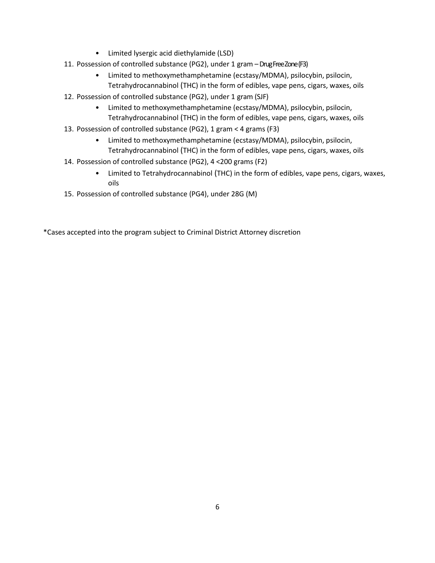- Limited lysergic acid diethylamide (LSD)
- 11. Possession of controlled substance (PG2), under 1 gram –Drug Free Zone (F3)
	- Limited to methoxymethamphetamine (ecstasy/MDMA), psilocybin, psilocin, Tetrahydrocannabinol (THC) in the form of edibles, vape pens, cigars, waxes, oils
- 12. Possession of controlled substance (PG2), under 1 gram (SJF)
	- Limited to methoxymethamphetamine (ecstasy/MDMA), psilocybin, psilocin, Tetrahydrocannabinol (THC) in the form of edibles, vape pens, cigars, waxes, oils
- 13. Possession of controlled substance (PG2), 1 gram < 4 grams (F3)
	- Limited to methoxymethamphetamine (ecstasy/MDMA), psilocybin, psilocin, Tetrahydrocannabinol (THC) in the form of edibles, vape pens, cigars, waxes, oils
- 14. Possession of controlled substance (PG2), 4 <200 grams (F2)
	- Limited to Tetrahydrocannabinol (THC) in the form of edibles, vape pens, cigars, waxes, oils
- 15. Possession of controlled substance (PG4), under 28G (M)

\*Cases accepted into the program subject to Criminal District Attorney discretion